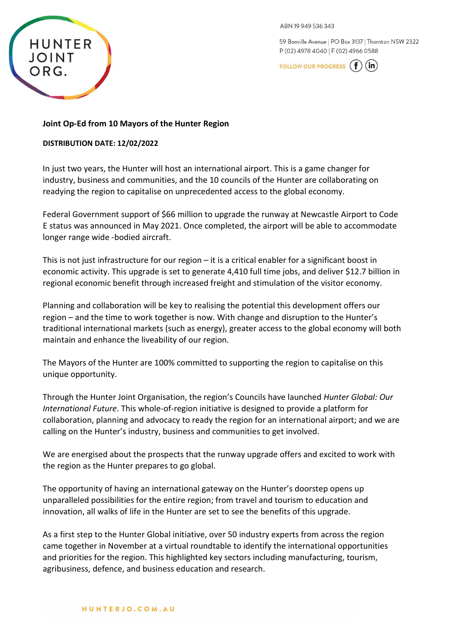

ARN 19949536343

59 Bonville Avenue | PO Box 3137 | Thornton NSW 2322 P (02) 4978 4040 | F (02) 4966 0588

**FOLLOW OUR PROGRESS** 

## **Joint Op-Ed from 10 Mayors of the Hunter Region**

### **DISTRIBUTION DATE: 12/02/2022**

In just two years, the Hunter will host an international airport. This is a game changer for industry, business and communities, and the 10 councils of the Hunter are collaborating on readying the region to capitalise on unprecedented access to the global economy.

Federal Government support of \$66 million to upgrade the runway at Newcastle Airport to Code E status was announced in May 2021. Once completed, the airport will be able to accommodate longer range wide -bodied aircraft.

This is not just infrastructure for our region – it is a critical enabler for a significant boost in economic activity. This upgrade is set to generate 4,410 full time jobs, and deliver \$12.7 billion in regional economic benefit through increased freight and stimulation of the visitor economy.

Planning and collaboration will be key to realising the potential this development offers our region – and the time to work together is now. With change and disruption to the Hunter's traditional international markets (such as energy), greater access to the global economy will both maintain and enhance the liveability of our region.

The Mayors of the Hunter are 100% committed to supporting the region to capitalise on this unique opportunity.

Through the Hunter Joint Organisation, the region's Councils have launched *Hunter Global: Our International Future*. This whole-of-region initiative is designed to provide a platform for collaboration, planning and advocacy to ready the region for an international airport; and we are calling on the Hunter's industry, business and communities to get involved.

We are energised about the prospects that the runway upgrade offers and excited to work with the region as the Hunter prepares to go global.

The opportunity of having an international gateway on the Hunter's doorstep opens up unparalleled possibilities for the entire region; from travel and tourism to education and innovation, all walks of life in the Hunter are set to see the benefits of this upgrade.

As a first step to the Hunter Global initiative, over 50 industry experts from across the region came together in November at a virtual roundtable to identify the international opportunities and priorities for the region. This highlighted key sectors including manufacturing, tourism, agribusiness, defence, and business education and research.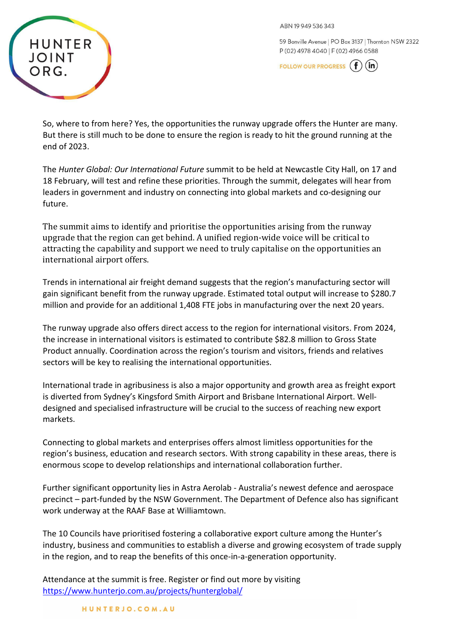ABN 19 949 536 343

59 Bonville Avenue | PO Box 3137 | Thornton NSW 2322 P (02) 4978 4040 | F (02) 4966 0588

**FOLLOW OUR PROGRESS**  $(in)$ 



So, where to from here? Yes, the opportunities the runway upgrade offers the Hunter are many. But there is still much to be done to ensure the region is ready to hit the ground running at the end of 2023.

The *Hunter Global: Our International Future* summit to be held at Newcastle City Hall, on 17 and 18 February, will test and refine these priorities. Through the summit, delegates will hear from leaders in government and industry on connecting into global markets and co-designing our future.

The summit aims to identify and prioritise the opportunities arising from the runway upgrade that the region can get behind. A unified region-wide voice will be critical to attracting the capability and support we need to truly capitalise on the opportunities an international airport offers.

Trends in international air freight demand suggests that the region's manufacturing sector will gain significant benefit from the runway upgrade. Estimated total output will increase to \$280.7 million and provide for an additional 1,408 FTE jobs in manufacturing over the next 20 years.

The runway upgrade also offers direct access to the region for international visitors. From 2024, the increase in international visitors is estimated to contribute \$82.8 million to Gross State Product annually. Coordination across the region's tourism and visitors, friends and relatives sectors will be key to realising the international opportunities.

International trade in agribusiness is also a major opportunity and growth area as freight export is diverted from Sydney's Kingsford Smith Airport and Brisbane International Airport. Welldesigned and specialised infrastructure will be crucial to the success of reaching new export markets.

Connecting to global markets and enterprises offers almost limitless opportunities for the region's business, education and research sectors. With strong capability in these areas, there is enormous scope to develop relationships and international collaboration further.

Further significant opportunity lies in Astra Aerolab - Australia's newest defence and aerospace precinct – part-funded by the NSW Government. The Department of Defence also has significant work underway at the RAAF Base at Williamtown.

The 10 Councils have prioritised fostering a collaborative export culture among the Hunter's industry, business and communities to establish a diverse and growing ecosystem of trade supply in the region, and to reap the benefits of this once-in-a-generation opportunity.

Attendance at the summit is free. Register or find out more by visiting <https://www.hunterjo.com.au/projects/hunterglobal/>